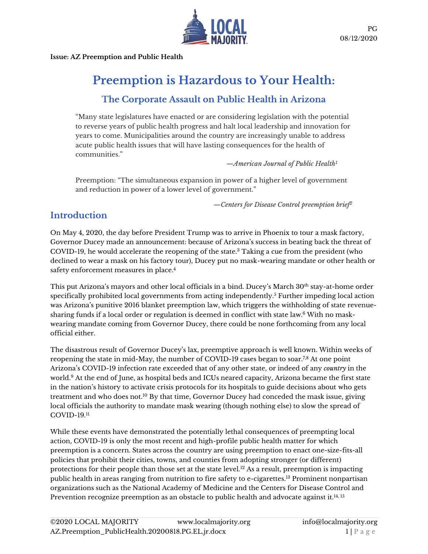

**Issue: AZ Preemption and Public Health**

# **Preemption is Hazardous to Your Health:**

# **The Corporate Assault on Public Health in Arizona**

"Many state legislatures have enacted or are considering legislation with the potential to reverse years of public health progress and halt local leadership and innovation for years to come. Municipalities around the country are increasingly unable to address acute public health issues that will have lasting consequences for the health of communities."

*—American Journal of Public Health<sup>1</sup>*

Preemption: "The simultaneous expansion in power of a higher level of government and reduction in power of a lower level of government."

*—Centers for Disease Control preemption brief<sup>2</sup>*

# **Introduction**

On May 4, 2020, the day before President Trump was to arrive in Phoenix to tour a mask factory, Governor Ducey made an announcement: because of Arizona's success in beating back the threat of COVID-19, he would accelerate the reopening of the state.<sup>3</sup> Taking a cue from the president (who declined to wear a mask on his factory tour), Ducey put no mask-wearing mandate or other health or safety enforcement measures in place.<sup>4</sup>

This put Arizona's mayors and other local officials in a bind. Ducey's March 30<sup>th</sup> stay-at-home order specifically prohibited local governments from acting independently. <sup>5</sup> Further impeding local action was Arizona's punitive 2016 blanket preemption law, which triggers the withholding of state revenuesharing funds if a local order or regulation is deemed in conflict with state law. <sup>6</sup> With no maskwearing mandate coming from Governor Ducey, there could be none forthcoming from any local official either.

The disastrous result of Governor Ducey's lax, preemptive approach is well known. Within weeks of reopening the state in mid-May, the number of COVID-19 cases began to soar.7,8 At one point Arizona's COVID-19 infection rate exceeded that of any other state, or indeed of any *country* in the world. <sup>9</sup> At the end of June, as hospital beds and ICUs neared capacity, Arizona became the first state in the nation's history to activate crisis protocols for its hospitals to guide decisions about who gets treatment and who does not.<sup>10</sup> By that time, Governor Ducey had conceded the mask issue, giving local officials the authority to mandate mask wearing (though nothing else) to slow the spread of COVID-19. 11

While these events have demonstrated the potentially lethal consequences of preempting local action, COVID-19 is only the most recent and high-profile public health matter for which preemption is a concern. States across the country are using preemption to enact one-size-fits-all policies that prohibit their cities, towns, and counties from adopting stronger (or different) protections for their people than those set at the state level.<sup>12</sup> As a result, preemption is impacting public health in areas ranging from nutrition to fire safety to e-cigarettes. <sup>13</sup> Prominent nonpartisan organizations such as the National Academy of Medicine and the Centers for Disease Control and Prevention recognize preemption as an obstacle to public health and advocate against it. $^{14,\,15}$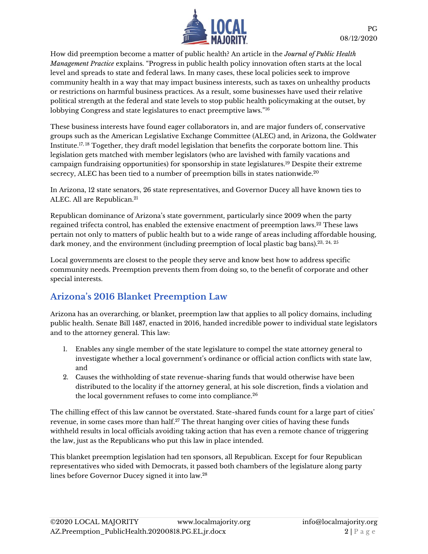

How did preemption become a matter of public health? An article in the *Journal of Public Health Management Practice* explains. "Progress in public health policy innovation often starts at the local level and spreads to state and federal laws. In many cases, these local policies seek to improve community health in a way that may impact business interests, such as taxes on unhealthy products or restrictions on harmful business practices. As a result, some businesses have used their relative political strength at the federal and state levels to stop public health policymaking at the outset, by lobbying Congress and state legislatures to enact preemptive laws."<sup>16</sup>

These business interests have found eager collaborators in, and are major funders of, conservative groups such as the American Legislative Exchange Committee (ALEC) and, in Arizona, the Goldwater Institute.17, 18 Together, they draft model legislation that benefits the corporate bottom line. This legislation gets matched with member legislators (who are lavished with family vacations and campaign fundraising opportunities) for sponsorship in state legislatures.<sup>19</sup> Despite their extreme secrecy, ALEC has been tied to a number of preemption bills in states nationwide.<sup>20</sup>

In Arizona, 12 state senators, 26 state representatives, and Governor Ducey all have known ties to ALEC. All are Republican.<sup>21</sup>

Republican dominance of Arizona's state government, particularly since 2009 when the party regained trifecta control, has enabled the extensive enactment of preemption laws. $^{22}$  These laws pertain not only to matters of public health but to a wide range of areas including affordable housing, dark money, and the environment (including preemption of local plastic bag bans). $^{23,\;24,\;25}$ 

Local governments are closest to the people they serve and know best how to address specific community needs. Preemption prevents them from doing so, to the benefit of corporate and other special interests.

# **Arizona's 2016 Blanket Preemption Law**

Arizona has an overarching, or blanket, preemption law that applies to all policy domains, including public health. Senate Bill 1487, enacted in 2016, handed incredible power to individual state legislators and to the attorney general. This law:

- 1. Enables any single member of the state legislature to compel the state attorney general to investigate whether a local government's ordinance or official action conflicts with state law, and
- 2. Causes the withholding of state revenue-sharing funds that would otherwise have been distributed to the locality if the attorney general, at his sole discretion, finds a violation and the local government refuses to come into compliance.<sup>26</sup>

The chilling effect of this law cannot be overstated. State-shared funds count for a large part of cities' revenue, in some cases more than half.<sup>27</sup> The threat hanging over cities of having these funds withheld results in local officials avoiding taking action that has even a remote chance of triggering the law, just as the Republicans who put this law in place intended.

This blanket preemption legislation had ten sponsors, all Republican. Except for four Republican representatives who sided with Democrats, it passed both chambers of the legislature along party lines before Governor Ducey signed it into law.28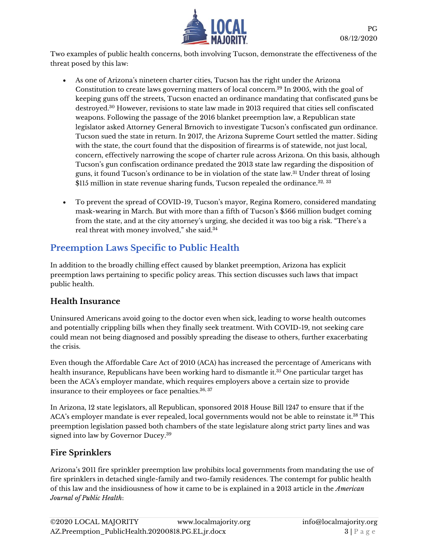

Two examples of public health concerns, both involving Tucson, demonstrate the effectiveness of the threat posed by this law:

- As one of Arizona's nineteen charter cities, Tucson has the right under the Arizona Constitution to create laws governing matters of local concern.<sup>29</sup> In 2005, with the goal of keeping guns off the streets, Tucson enacted an ordinance mandating that confiscated guns be destroyed.<sup>30</sup> However, revisions to state law made in 2013 required that cities sell confiscated weapons. Following the passage of the 2016 blanket preemption law, a Republican state legislator asked Attorney General Brnovich to investigate Tucson's confiscated gun ordinance. Tucson sued the state in return. In 2017, the Arizona Supreme Court settled the matter. Siding with the state, the court found that the disposition of firearms is of statewide, not just local, concern, effectively narrowing the scope of charter rule across Arizona. On this basis, although Tucson's gun confiscation ordinance predated the 2013 state law regarding the disposition of guns, it found Tucson's ordinance to be in violation of the state law.<sup>31</sup> Under threat of losing \$115 million in state revenue sharing funds, Tucson repealed the ordinance.<sup>32, 33</sup>
- To prevent the spread of COVID-19, Tucson's mayor, Regina Romero, considered mandating mask-wearing in March. But with more than a fifth of Tucson's \$566 million budget coming from the state, and at the city attorney's urging, she decided it was too big a risk. "There's a real threat with money involved," she said.<sup>34</sup>

# **Preemption Laws Specific to Public Health**

In addition to the broadly chilling effect caused by blanket preemption, Arizona has explicit preemption laws pertaining to specific policy areas. This section discusses such laws that impact public health.

### **Health Insurance**

Uninsured Americans avoid going to the doctor even when sick, leading to worse health outcomes and potentially crippling bills when they finally seek treatment. With COVID-19, not seeking care could mean not being diagnosed and possibly spreading the disease to others, further exacerbating the crisis.

Even though the Affordable Care Act of 2010 (ACA) has increased the percentage of Americans with health insurance, Republicans have been working hard to dismantle it. <sup>35</sup> One particular target has been the ACA's employer mandate, which requires employers above a certain size to provide insurance to their employees or face penalties.<sup>36, 37</sup>

In Arizona, 12 state legislators, all Republican, sponsored 2018 House Bill 1247 to ensure that if the ACA's employer mandate is ever repealed, local governments would not be able to reinstate it. <sup>38</sup> This preemption legislation passed both chambers of the state legislature along strict party lines and was signed into law by Governor Ducey.<sup>39</sup>

### **Fire Sprinklers**

Arizona's 2011 fire sprinkler preemption law prohibits local governments from mandating the use of fire sprinklers in detached single-family and two-family residences. The contempt for public health of this law and the insidiousness of how it came to be is explained in a 2013 article in the *American Journal of Public Health*: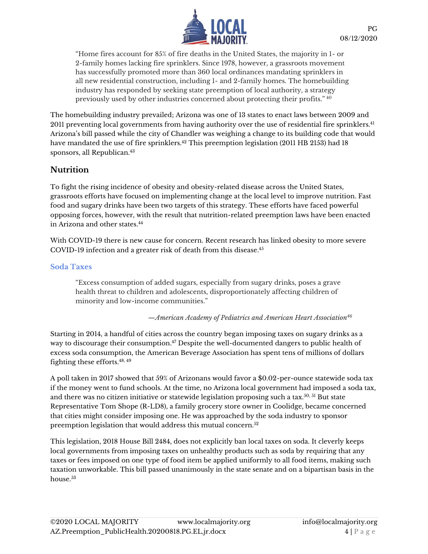

"Home fires account for 85% of fire deaths in the United States, the majority in 1- or 2-family homes lacking fire sprinklers. Since 1978, however, a grassroots movement has successfully promoted more than 360 local ordinances mandating sprinklers in all new residential construction, including 1- and 2-family homes. The homebuilding industry has responded by seeking state preemption of local authority, a strategy previously used by other industries concerned about protecting their profits." <sup>40</sup>

The homebuilding industry prevailed; Arizona was one of 13 states to enact laws between 2009 and 2011 preventing local governments from having authority over the use of residential fire sprinklers. 41 Arizona's bill passed while the city of Chandler was weighing a change to its building code that would have mandated the use of fire sprinklers.<sup>42</sup> This preemption legislation (2011 HB 2153) had 18 sponsors, all Republican.<sup>43</sup>

### **Nutrition**

To fight the rising incidence of obesity and obesity-related disease across the United States, grassroots efforts have focused on implementing change at the local level to improve nutrition. Fast food and sugary drinks have been two targets of this strategy. These efforts have faced powerful opposing forces, however, with the result that nutrition-related preemption laws have been enacted in Arizona and other states. 44

With COVID-19 there is new cause for concern. Recent research has linked obesity to more severe COVID-19 infection and a greater risk of death from this disease. 45

#### **Soda Taxes**

"Excess consumption of added sugars, especially from sugary drinks, poses a grave health threat to children and adolescents, disproportionately affecting children of minority and low-income communities."

*—American Academy of Pediatrics and American Heart Association<sup>46</sup>*

Starting in 2014, a handful of cities across the country began imposing taxes on sugary drinks as a way to discourage their consumption. <sup>47</sup> Despite the well-documented dangers to public health of excess soda consumption, the American Beverage Association has spent tens of millions of dollars fighting these efforts. 48, 49

A poll taken in 2017 showed that 59% of Arizonans would favor a \$0.02-per-ounce statewide soda tax if the money went to fund schools. At the time, no Arizona local government had imposed a soda tax, and there was no citizen initiative or statewide legislation proposing such a tax.<sup>50, 51</sup> But state Representative Tom Shope (R-LD8), a family grocery store owner in Coolidge, became concerned that cities might consider imposing one. He was approached by the soda industry to sponsor preemption legislation that would address this mutual concern.<sup>52</sup>

This legislation, 2018 House Bill 2484, does not explicitly ban local taxes on soda. It cleverly keeps local governments from imposing taxes on unhealthy products such as soda by requiring that any taxes or fees imposed on one type of food item be applied uniformly to all food items, making such taxation unworkable. This bill passed unanimously in the state senate and on a bipartisan basis in the house.<sup>53</sup>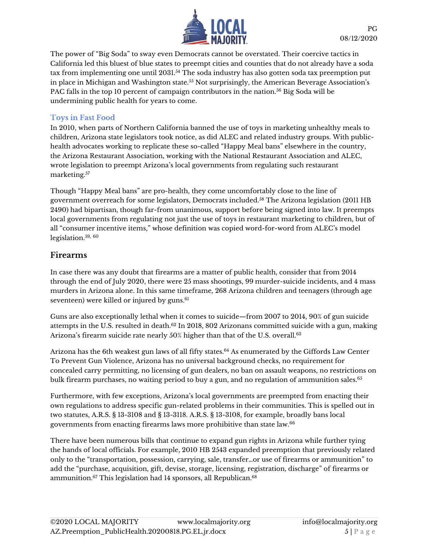

The power of "Big Soda" to sway even Democrats cannot be overstated. Their coercive tactics in California led this bluest of blue states to preempt cities and counties that do not already have a soda tax from implementing one until 2031.<sup>54</sup> The soda industry has also gotten soda tax preemption put in place in Michigan and Washington state.<sup>55</sup> Not surprisingly, the American Beverage Association's PAC falls in the top 10 percent of campaign contributors in the nation.<sup>56</sup> Big Soda will be undermining public health for years to come.

#### **Toys in Fast Food**

In 2010, when parts of Northern California banned the use of toys in marketing unhealthy meals to children, Arizona state legislators took notice, as did ALEC and related industry groups. With publichealth advocates working to replicate these so-called "Happy Meal bans" elsewhere in the country, the Arizona Restaurant Association, working with the National Restaurant Association and ALEC, wrote legislation to preempt Arizona's local governments from regulating such restaurant marketing.<sup>57</sup>

Though "Happy Meal bans" are pro-health, they come uncomfortably close to the line of government overreach for some legislators, Democrats included.<sup>58</sup> The Arizona legislation (2011 HB 2490) had bipartisan, though far-from unanimous, support before being signed into law. It preempts local governments from regulating not just the use of toys in restaurant marketing to children, but of all "consumer incentive items," whose definition was copied word-for-word from ALEC's model legislation. 59, 60

#### **Firearms**

In case there was any doubt that firearms are a matter of public health, consider that from 2014 through the end of July 2020, there were 25 mass shootings, 99 murder-suicide incidents, and 4 mass murders in Arizona alone. In this same timeframe, 268 Arizona children and teenagers (through age seventeen) were killed or injured by guns. 61

Guns are also exceptionally lethal when it comes to suicide—from 2007 to 2014, 90% of gun suicide attempts in the U.S. resulted in death.<sup>62</sup> In 2018, 802 Arizonans committed suicide with a gun, making Arizona's firearm suicide rate nearly 50% higher than that of the U.S. overall.<sup>63</sup>

Arizona has the 6th weakest gun laws of all fifty states.<sup>64</sup> As enumerated by the Giffords Law Center To Prevent Gun Violence, Arizona has no universal background checks, no requirement for concealed carry permitting, no licensing of gun dealers, no ban on assault weapons, no restrictions on bulk firearm purchases, no waiting period to buy a gun, and no regulation of ammunition sales.<sup>65</sup>

Furthermore, with few exceptions, Arizona's local governments are preempted from enacting their own regulations to address specific gun-related problems in their communities. This is spelled out in two statutes, A.R.S. § 13-3108 and § 13-3118. A.R.S. § 13-3108, for example, broadly bans local governments from enacting firearms laws more prohibitive than state law.<sup>66</sup>

There have been numerous bills that continue to expand gun rights in Arizona while further tying the hands of local officials. For example, 2010 HB 2543 expanded preemption that previously related only to the "transportation, possession, carrying, sale, transfer…or use of firearms or ammunition" to add the "purchase, acquisition, gift, devise, storage, licensing, registration, discharge" of firearms or ammunition.<sup>67</sup> This legislation had 14 sponsors, all Republican. 68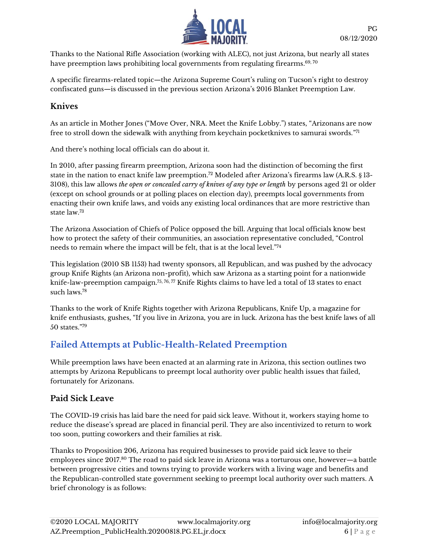

Thanks to the National Rifle Association (working with ALEC), not just Arizona, but nearly all states have preemption laws prohibiting local governments from regulating firearms. $^{69,\,70}$ 

A specific firearms-related topic—the Arizona Supreme Court's ruling on Tucson's right to destroy confiscated guns—is discussed in the previous section Arizona's 2016 Blanket Preemption Law.

### **Knives**

As an article in Mother Jones ("Move Over, NRA. Meet the Knife Lobby.") states, "Arizonans are now free to stroll down the sidewalk with anything from keychain pocketknives to samurai swords." 71

And there's nothing local officials can do about it.

In 2010, after passing firearm preemption, Arizona soon had the distinction of becoming the first state in the nation to enact knife law preemption.<sup>72</sup> Modeled after Arizona's firearms law (A.R.S. § 13-3108), this law allows *the open or concealed carry of knives of any type or length* by persons aged 21 or older (except on school grounds or at polling places on election day), preempts local governments from enacting their own knife laws, and voids any existing local ordinances that are more restrictive than state law.<sup>73</sup>

The Arizona Association of Chiefs of Police opposed the bill. Arguing that local officials know best how to protect the safety of their communities, an association representative concluded, "Control needs to remain where the impact will be felt, that is at the local level." 74

This legislation (2010 SB 1153) had twenty sponsors, all Republican, and was pushed by the advocacy group Knife Rights (an Arizona non-profit), which saw Arizona as a starting point for a nationwide knife-law-preemption campaign.<sup>75, 76, 77</sup> Knife Rights claims to have led a total of 13 states to enact such laws.<sup>78</sup>

Thanks to the work of Knife Rights together with Arizona Republicans, Knife Up, a magazine for knife enthusiasts, gushes, "If you live in Arizona, you are in luck. Arizona has the best knife laws of all 50 states."<sup>79</sup>

# **Failed Attempts at Public-Health-Related Preemption**

While preemption laws have been enacted at an alarming rate in Arizona, this section outlines two attempts by Arizona Republicans to preempt local authority over public health issues that failed, fortunately for Arizonans.

### **Paid Sick Leave**

The COVID-19 crisis has laid bare the need for paid sick leave. Without it, workers staying home to reduce the disease's spread are placed in financial peril. They are also incentivized to return to work too soon, putting coworkers and their families at risk.

Thanks to Proposition 206, Arizona has required businesses to provide paid sick leave to their employees since 2017.<sup>80</sup> The road to paid sick leave in Arizona was a torturous one, however—a battle between progressive cities and towns trying to provide workers with a living wage and benefits and the Republican-controlled state government seeking to preempt local authority over such matters. A brief chronology is as follows: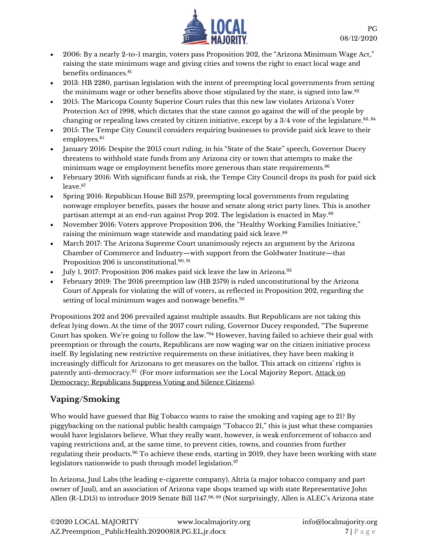

- 2006: By a nearly 2-to-1 margin, voters pass Proposition 202, the "Arizona Minimum Wage Act," raising the state minimum wage and giving cities and towns the right to enact local wage and benefits ordinances.<sup>81</sup>
- 2013: HB 2280, partisan legislation with the intent of preempting local governments from setting the minimum wage or other benefits above those stipulated by the state, is signed into law. $^{82}$
- 2015: The Maricopa County Superior Court rules that this new law violates Arizona's Voter Protection Act of 1998, which dictates that the state cannot go against the will of the people by changing or repealing laws created by citizen initiative, except by a  $3/4$  vote of the legislature. $^{83,\,84}$
- 2015: The Tempe City Council considers requiring businesses to provide paid sick leave to their employees.<sup>85</sup>
- January 2016: Despite the 2015 court ruling, in his "State of the State" speech, Governor Ducey threatens to withhold state funds from any Arizona city or town that attempts to make the minimum wage or employment benefits more generous than state requirements.<sup>86</sup>
- February 2016: With significant funds at risk, the Tempe City Council drops its push for paid sick leave.<sup>87</sup>
- Spring 2016: Republican House Bill 2579, preempting local governments from regulating nonwage employee benefits, passes the house and senate along strict party lines. This is another partisan attempt at an end-run against Prop 202. The legislation is enacted in May.<sup>88</sup>
- November 2016: Voters approve Proposition 206, the "Healthy Working Families Initiative," raising the minimum wage statewide and mandating paid sick leave. 89
- March 2017: The Arizona Supreme Court unanimously rejects an argument by the Arizona Chamber of Commerce and Industry—with support from the Goldwater Institute—that Proposition 206 is unconstitutional. 90, 91
- July 1, 2017: Proposition 206 makes paid sick leave the law in Arizona.<sup>92</sup>
- February 2019: The 2016 preemption law (HB 2579) is ruled unconstitutional by the Arizona Court of Appeals for violating the will of voters, as reflected in Proposition 202, regarding the setting of local minimum wages and nonwage benefits.<sup>93</sup>

Propositions 202 and 206 prevailed against multiple assaults. But Republicans are not taking this defeat lying down. At the time of the 2017 court ruling, Governor Ducey responded, "The Supreme Court has spoken. We're going to follow the law." <sup>94</sup> However, having failed to achieve their goal with preemption or through the courts, Republicans are now waging war on the citizen initiative process itself. By legislating new restrictive requirements on these initiatives, they have been making it increasingly difficult for Arizonans to get measures on the ballot. This attack on citizens' rights is patently anti-democracy.<sup>95</sup> (For more information see the Local Majority Report, <u>Attack on</u> [Democracy: Republicans Suppress Voting and Silence Citizens\)](https://www.localmajority.org/wp-content/uploads/2020/06/AZ.Voter_Suppression.060152020.KP_-1.pdf).

# **Vaping/Smoking**

Who would have guessed that Big Tobacco wants to raise the smoking and vaping age to 21? By piggybacking on the national public health campaign "Tobacco 21," this is just what these companies would have legislators believe. What they really want, however, is weak enforcement of tobacco and vaping restrictions and, at the same time, to prevent cities, towns, and counties from further regulating their products.<sup>96</sup> To achieve these ends, starting in 2019, they have been working with state legislators nationwide to push through model legislation. 97

In Arizona, Juul Labs (the leading e-cigarette company), Altria (a major tobacco company and part owner of Juul), and an association of Arizona vape shops teamed up with state Representative John Allen (R-LD15) to introduce 2019 Senate Bill 1147.<sup>98, 99</sup> (Not surprisingly, Allen is ALEC's Arizona state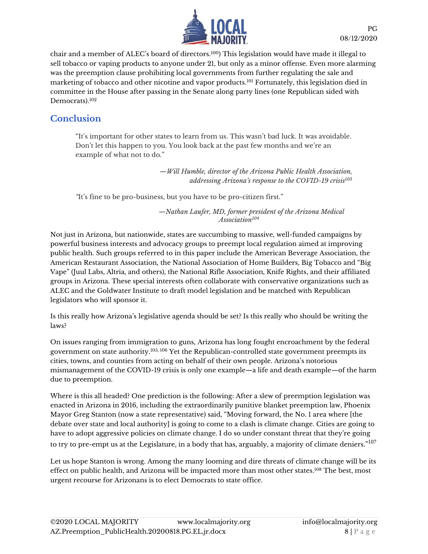

chair and a member of ALEC's board of directors.<sup>100</sup>) This legislation would have made it illegal to sell tobacco or vaping products to anyone under 21, but only as a minor offense. Even more alarming was the preemption clause prohibiting local governments from further regulating the sale and marketing of tobacco and other nicotine and vapor products.<sup>101</sup> Fortunately, this legislation died in committee in the House after passing in the Senate along party lines (one Republican sided with Democrats). 102

### **Conclusion**

"It's important for other states to learn from us. This wasn't bad luck. It was avoidable. Don't let this happen to you. You look back at the past few months and we're an example of what not to do."

> *—Will Humble, director of the Arizona Public Health Association, addressing Arizona's response to the COVID-19 crisis<sup>103</sup>*

*"*It's fine to be pro-business, but you have to be pro-citizen first."

*—Nathan Laufer, MD, former president of the Arizona Medical Association<sup>104</sup>*

Not just in Arizona, but nationwide, states are succumbing to massive, well-funded campaigns by powerful business interests and advocacy groups to preempt local regulation aimed at improving public health. Such groups referred to in this paper include the American Beverage Association, the American Restaurant Association, the National Association of Home Builders, Big Tobacco and "Big Vape" (Juul Labs, Altria, and others), the National Rifle Association, Knife Rights, and their affiliated groups in Arizona. These special interests often collaborate with conservative organizations such as ALEC and the Goldwater Institute to draft model legislation and be matched with Republican legislators who will sponsor it.

Is this really how Arizona's legislative agenda should be set? Is this really who should be writing the laws?

On issues ranging from immigration to guns, Arizona has long fought encroachment by the federal government on state authority.105, <sup>106</sup> Yet the Republican-controlled state government preempts its cities, towns, and counties from acting on behalf of their own people. Arizona's notorious mismanagement of the COVID-19 crisis is only one example—a life and death example—of the harm due to preemption.

Where is this all headed? One prediction is the following: After a slew of preemption legislation was enacted in Arizona in 2016, including the extraordinarily punitive blanket preemption law, Phoenix Mayor Greg Stanton (now a state representative) said, "Moving forward, the No. 1 area where [the debate over state and local authority] is going to come to a clash is climate change. Cities are going to have to adopt aggressive policies on climate change. I do so under constant threat that they're going to try to pre-empt us at the Legislature, in a body that has, arguably, a majority of climate deniers." $^{107}$ 

Let us hope Stanton is wrong. Among the many looming and dire threats of climate change will be its effect on public health, and Arizona will be impacted more than most other states.<sup>108</sup> The best, most urgent recourse for Arizonans is to elect Democrats to state office.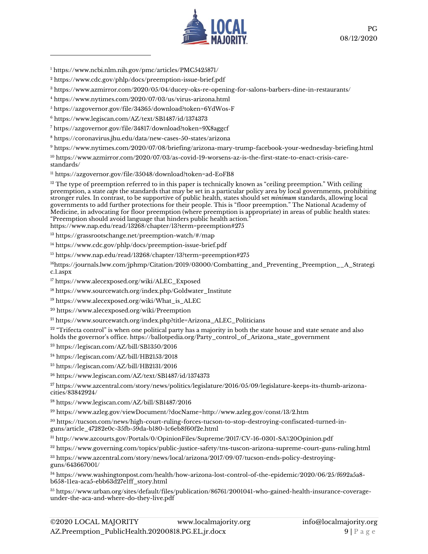

<https://www.ncbi.nlm.nih.gov/pmc/articles/PMC5425871/>

- <https://www.cdc.gov/phlp/docs/preemption-issue-brief.pdf>
- <https://www.azmirror.com/2020/05/04/ducey-oks-re-opening-for-salons-barbers-dine-in-restaurants/>
- <https://www.nytimes.com/2020/07/03/us/virus-arizona.html>
- <https://azgovernor.gov/file/34365/download?token=6YdWos-F>
- <https://www.legiscan.com/AZ/text/SB1487/id/1374373>

<https://azgovernor.gov/file/34817/download?token=9X8aggcf>

<https://coronavirus.jhu.edu/data/new-cases-50-states/arizona>

<https://www.nytimes.com/2020/07/08/briefing/arizona-mary-trump-facebook-your-wednesday-briefing.html>

 [https://www.azmirror.com/2020/07/03/as-covid-19-worsens-az-is-the-first-state-to-enact-crisis-care](https://www.azmirror.com/2020/07/03/as-covid-19-worsens-az-is-the-first-state-to-enact-crisis-care-standards/)[standards/](https://www.azmirror.com/2020/07/03/as-covid-19-worsens-az-is-the-first-state-to-enact-crisis-care-standards/)

<https://azgovernor.gov/file/35048/download?token=ad-EoFB8>

 The type of preemption referred to in this paper is technically known as "ceiling preemption." With ceiling preemption, a state *caps* the standards that may be set in a particular policy area by local governments, prohibiting stronger rules. In contrast, to be supportive of public health, states should set *minimum* standards, allowing local governments to add further protections for their people. This is "floor preemption." The National Academy of Medicine, in advocating for floor preemption (where preemption is appropriate) in areas of public health states: "Preemption should avoid language that hinders public health action." <https://www.nap.edu/read/13268/chapter/13?term=preemption#275>

<https://grassrootschange.net/preemption-watch/#/map>

<https://www.cdc.gov/phlp/docs/preemption-issue-brief.pdf>

<https://www.nap.edu/read/13268/chapter/13?term=preemption#275>

https://journals.lww.com/jphmp/Citation/2019/03000/Combatting\_and\_Preventing\_Preemption\_\_A\_Strategi c.1.aspx

[https://www.alecexposed.org/wiki/ALEC\\_Exposed](https://www.alecexposed.org/wiki/ALEC_Exposed)

[https://www.sourcewatch.org/index.php/Goldwater\\_Institute](https://www.sourcewatch.org/index.php/Goldwater_Institute)

[https://www.alecexposed.org/wiki/What\\_is\\_ALEC](https://www.alecexposed.org/wiki/What_is_ALEC)

<https://www.alecexposed.org/wiki/Preemption>

[https://www.sourcewatch.org/index.php?title=Arizona\\_ALEC\\_Politicians](https://www.sourcewatch.org/index.php?title=Arizona_ALEC_Politicians)

 "Trifecta control" is when one political party has a majority in both the state house and state senate and also holds the governor's office. [https://ballotpedia.org/Party\\_control\\_of\\_Arizona\\_state\\_government](https://ballotpedia.org/Party_control_of_Arizona_state_government)

<https://legiscan.com/AZ/bill/SB1350/2016>

<https://legiscan.com/AZ/bill/HB2153/2018>

<https://legiscan.com/AZ/bill/HB2131/2016>

<https://www.legiscan.com/AZ/text/SB1487/id/1374373>

 [https://www.azcentral.com/story/news/politics/legislature/2016/05/09/legislature-keeps-its-thumb-arizona](https://www.azcentral.com/story/news/politics/legislature/2016/05/09/legislature-keeps-its-thumb-arizona-cities/83842924/)[cities/83842924/](https://www.azcentral.com/story/news/politics/legislature/2016/05/09/legislature-keeps-its-thumb-arizona-cities/83842924/)

<https://www.legiscan.com/AZ/bill/SB1487/2016>

<https://www.azleg.gov/viewDocument/?docName=http://www.azleg.gov/const/13/2.htm>

 [https://tucson.com/news/high-court-ruling-forces-tucson-to-stop-destroying-confiscated-turned-in](https://tucson.com/news/high-court-ruling-forces-tucson-to-stop-destroying-confiscated-turned-in-guns/article_47282e0c-35fb-59da-b180-1c6eb8f60f2e.html)[guns/article\\_47282e0c-35fb-59da-b180-1c6eb8f60f2e.html](https://tucson.com/news/high-court-ruling-forces-tucson-to-stop-destroying-confiscated-turned-in-guns/article_47282e0c-35fb-59da-b180-1c6eb8f60f2e.html)

<http://www.azcourts.gov/Portals/0/OpinionFiles/Supreme/2017/CV-16-0301-SA%20Opinion.pdf>

<https://www.governing.com/topics/public-justice-safety/tns-tuscon-arizona-supreme-court-guns-ruling.html>

 [https://www.azcentral.com/story/news/local/arizona/2017/09/07/tucson-ends-policy-destroying](https://www.azcentral.com/story/news/local/arizona/2017/09/07/tucson-ends-policy-destroying-guns/643667001/)[guns/643667001/](https://www.azcentral.com/story/news/local/arizona/2017/09/07/tucson-ends-policy-destroying-guns/643667001/)

 [https://www.washingtonpost.com/health/how-arizona-lost-control-of-the-epidemic/2020/06/25/f692a5a8](https://www.washingtonpost.com/health/how-arizona-lost-control-of-the-epidemic/2020/06/25/f692a5a8-b658-11ea-aca5-ebb63d27e1ff_story.html) [b658-11ea-aca5-ebb63d27e1ff\\_story.html](https://www.washingtonpost.com/health/how-arizona-lost-control-of-the-epidemic/2020/06/25/f692a5a8-b658-11ea-aca5-ebb63d27e1ff_story.html)

 [https://www.urban.org/sites/default/files/publication/86761/2001041-who-gained-health-insurance-coverage](https://www.urban.org/sites/default/files/publication/86761/2001041-who-gained-health-insurance-coverage-under-the-aca-and-where-do-they-live.pdf)[under-the-aca-and-where-do-they-live.pdf](https://www.urban.org/sites/default/files/publication/86761/2001041-who-gained-health-insurance-coverage-under-the-aca-and-where-do-they-live.pdf)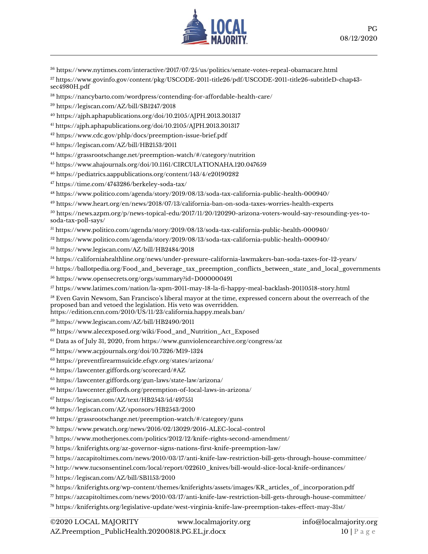

<https://www.nytimes.com/interactive/2017/07/25/us/politics/senate-votes-repeal-obamacare.html>

 [https://www.govinfo.gov/content/pkg/USCODE-2011-title26/pdf/USCODE-2011-title26-subtitleD-chap43](https://www.govinfo.gov/content/pkg/USCODE-2011-title26/pdf/USCODE-2011-title26-subtitleD-chap43-sec4980H.pdf) [sec4980H.pdf](https://www.govinfo.gov/content/pkg/USCODE-2011-title26/pdf/USCODE-2011-title26-subtitleD-chap43-sec4980H.pdf)

<https://nancybarto.com/wordpress/contending-for-affordable-health-care/>

<https://legiscan.com/AZ/bill/SB1247/2018>

<https://ajph.aphapublications.org/doi/10.2105/AJPH.2013.301317>

<https://ajph.aphapublications.org/doi/10.2105/AJPH.2013.301317>

<https://www.cdc.gov/phlp/docs/preemption-issue-brief.pdf>

<https://legiscan.com/AZ/bill/HB2153/2011>

<https://grassrootschange.net/preemption-watch/#/category/nutrition>

<https://www.ahajournals.org/doi/10.1161/CIRCULATIONAHA.120.047659>

<https://pediatrics.aappublications.org/content/143/4/e20190282>

<https://time.com/4743286/berkeley-soda-tax/>

<https://www.politico.com/agenda/story/2019/08/13/soda-tax-california-public-health-000940/>

<https://www.heart.org/en/news/2018/07/13/california-ban-on-soda-taxes-worries-health-experts>

 [https://news.azpm.org/p/news-topical-edu/2017/11/20/120290-arizona-voters-would-say-resounding-yes-to](https://news.azpm.org/p/news-topical-edu/2017/11/20/120290-arizona-voters-would-say-resounding-yes-to-soda-tax-poll-says/)[soda-tax-poll-says/](https://news.azpm.org/p/news-topical-edu/2017/11/20/120290-arizona-voters-would-say-resounding-yes-to-soda-tax-poll-says/)

<https://www.politico.com/agenda/story/2019/08/13/soda-tax-california-public-health-000940/>

<https://www.politico.com/agenda/story/2019/08/13/soda-tax-california-public-health-000940/>

<https://www.legiscan.com/AZ/bill/HB2484/2018>

<https://californiahealthline.org/news/under-pressure-california-lawmakers-ban-soda-taxes-for-12-years/>

[https://ballotpedia.org/Food\\_and\\_beverage\\_tax\\_preemption\\_conflicts\\_between\\_state\\_and\\_local\\_governments](https://ballotpedia.org/Food_and_beverage_tax_preemption_conflicts_between_state_and_local_governments)

<https://www.opensecrets.org/orgs/summary?id=D000000491>

<https://www.latimes.com/nation/la-xpm-2011-may-18-la-fi-happy-meal-backlash-20110518-story.html>

 Even Gavin Newsom, San Francisco's liberal mayor at the time, expressed concern about the overreach of the proposed ban and vetoed the legislation. His veto was overridden. <https://edition.cnn.com/2010/US/11/23/california.happy.meals.ban/>

<https://www.legiscan.com/AZ/bill/HB2490/2011>

[https://www.alecexposed.org/wiki/Food\\_and\\_Nutrition\\_Act\\_Exposed](https://www.alecexposed.org/wiki/Food_and_Nutrition_Act_Exposed)

Data as of July 31, 2020, from <https://www.gunviolencearchive.org/congress/az>

<https://www.acpjournals.org/doi/10.7326/M19-1324>

<https://preventfirearmsuicide.efsgv.org/states/arizona/>

<https://lawcenter.giffords.org/scorecard/#AZ>

<https://lawcenter.giffords.org/gun-laws/state-law/arizona/>

<https://lawcenter.giffords.org/preemption-of-local-laws-in-arizona/>

<https://legiscan.com/AZ/text/HB2543/id/497551>

<https://legiscan.com/AZ/sponsors/HB2543/2010>

<https://grassrootschange.net/preemption-watch/#/category/guns>

<https://www.prwatch.org/news/2016/02/13029/2016-ALEC-local-control>

[https://www.motherjones.com/politics/2012/12/knife-rights-second-amendment/](https://www.motherjones.com/politics/2012/12/knife-rights-second-amendment/https:/www.motherjones.com/politics/2012/12/knife-rights-second-amendment/)

<https://kniferights.org/az-governor-signs-nations-first-knife-preemption-law/>

<https://azcapitoltimes.com/news/2010/03/17/anti-knife-law-restriction-bill-gets-through-house-committee/>

[http://www.tucsonsentinel.com/local/report/022610\\_knives/bill-would-slice-local-knife-ordinances/](http://www.tucsonsentinel.com/local/report/022610_knives/bill-would-slice-local-knife-ordinances/)

<https://legiscan.com/AZ/bill/SB1153/2010>

[https://kniferights.org/wp-content/themes/kniferights/assets/images/KR\\_articles\\_of\\_incorporation.pdf](https://kniferights.org/wp-content/themes/kniferights/assets/images/KR_articles_of_incorporation.pdf)

<https://azcapitoltimes.com/news/2010/03/17/anti-knife-law-restriction-bill-gets-through-house-committee/>

<https://kniferights.org/legislative-update/west-virginia-knife-law-preemption-takes-effect-may-31st/>